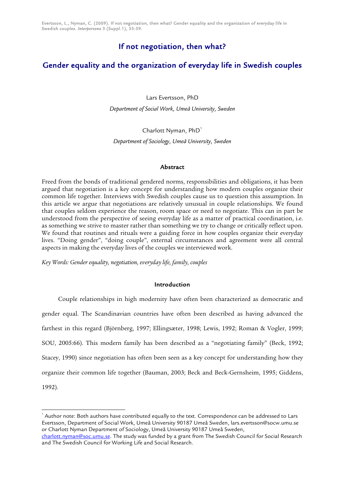# If not negotiation, then what?

# Gender equality and the organization of everyday life in Swedish couples

Lars Evertsson, PhD

*Department of Social Work, Umeå University, Sweden* 

Charlott Nyman,  $PhD<sup>1</sup>$  $PhD<sup>1</sup>$  $PhD<sup>1</sup>$ *Department of Sociology, Umeå University, Sweden* 

# Abstract

Freed from the bonds of traditional gendered norms, responsibilities and obligations, it has been argued that negotiation is a key concept for understanding how modern couples organize their common life together. Interviews with Swedish couples cause us to question this assumption. In this article we argue that negotiations are relatively unusual in couple relationships. We found that couples seldom experience the reason, room space or need to negotiate. This can in part be understood from the perspective of seeing everyday life as a matter of practical coordination, i.e. as something we strive to master rather than something we try to change or critically reflect upon. We found that routines and rituals were a guiding force in how couples organize their everyday lives. "Doing gender", "doing couple", external circumstances and agreement were all central aspects in making the everyday lives of the couples we interviewed work.

*Key Words: Gender equality, negotiation, everyday life, family, couples* 

1

# Introduction

Couple relationships in high modernity have often been characterized as democratic and gender equal. The Scandinavian countries have often been described as having advanced the farthest in this regard (Björnberg, 1997; Ellingsæter, 1998; Lewis, 1992; Roman & Vogler, 1999; SOU, 2005:66). This modern family has been described as a "negotiating family" (Beck, 1992; Stacey, 1990) since negotiation has often been seen as a key concept for understanding how they organize their common life together (Bauman, 2003; Beck and Beck-Gernsheim, 1995; Giddens, 1992).

<span id="page-0-0"></span> $^{\circ}$  Author note: Both authors have contributed equally to the text. Correspondence can be addressed to Lars Evertsson, Department of Social Work, Umeå University 90187 Umeå Sweden, lars.evertsson@socw.umu.se or Charlott Nyman Department of Sociology, Umeå University 90187 Umeå Sweden,

[charlott.nyman@soc.umu.se.](mailto:charlott.nyman@soc.umu.se) The study was funded by a grant from The Swedish Council for Social Research and The Swedish Council for Working Life and Social Research.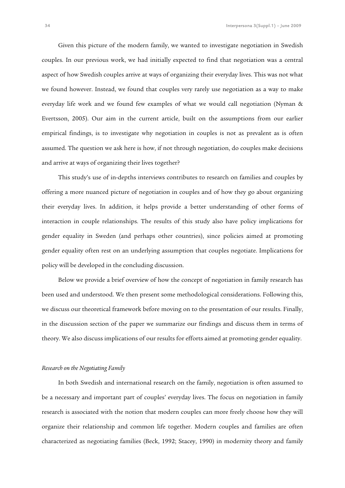Given this picture of the modern family, we wanted to investigate negotiation in Swedish couples. In our previous work, we had initially expected to find that negotiation was a central aspect of how Swedish couples arrive at ways of organizing their everyday lives. This was not what we found however. Instead, we found that couples very rarely use negotiation as a way to make everyday life work and we found few examples of what we would call negotiation (Nyman & Evertsson, 2005). Our aim in the current article, built on the assumptions from our earlier empirical findings, is to investigate why negotiation in couples is not as prevalent as is often assumed. The question we ask here is how, if not through negotiation, do couples make decisions and arrive at ways of organizing their lives together?

This study's use of in-depths interviews contributes to research on families and couples by offering a more nuanced picture of negotiation in couples and of how they go about organizing their everyday lives. In addition, it helps provide a better understanding of other forms of interaction in couple relationships. The results of this study also have policy implications for gender equality in Sweden (and perhaps other countries), since policies aimed at promoting gender equality often rest on an underlying assumption that couples negotiate. Implications for policy will be developed in the concluding discussion.

Below we provide a brief overview of how the concept of negotiation in family research has been used and understood. We then present some methodological considerations. Following this, we discuss our theoretical framework before moving on to the presentation of our results. Finally, in the discussion section of the paper we summarize our findings and discuss them in terms of theory. We also discuss implications of our results for efforts aimed at promoting gender equality.

#### *Research on the Negotiating Family*

In both Swedish and international research on the family, negotiation is often assumed to be a necessary and important part of couples' everyday lives. The focus on negotiation in family research is associated with the notion that modern couples can more freely choose how they will organize their relationship and common life together. Modern couples and families are often characterized as negotiating families (Beck, 1992; Stacey, 1990) in modernity theory and family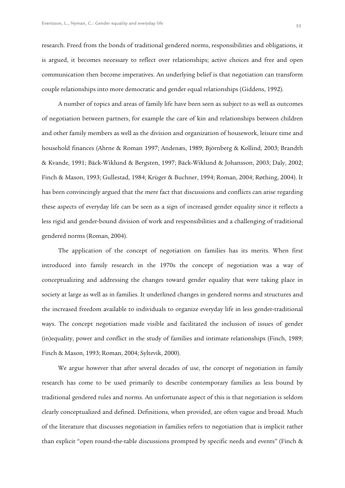research. Freed from the bonds of traditional gendered norms, responsibilities and obligations, it is argued, it becomes necessary to reflect over relationships; active choices and free and open communication then become imperatives. An underlying belief is that negotiation can transform couple relationships into more democratic and gender equal relationships (Giddens, 1992).

A number of topics and areas of family life have been seen as subject to as well as outcomes of negotiation between partners, for example the care of kin and relationships between children and other family members as well as the division and organization of housework, leisure time and household finances (Ahrne & Roman 1997; Andenæs, 1989; Björnberg & Kollind, 2003; Brandth & Kvande, 1991; Bäck-Wiklund & Bergsten, 1997; Bäck-Wiklund & Johansson, 2003; Daly, 2002; Finch & Mason, 1993; Gullestad, 1984; Krüger & Buchner, 1994; Roman, 2004; Røthing, 2004). It has been convincingly argued that the mere fact that discussions and conflicts can arise regarding these aspects of everyday life can be seen as a sign of increased gender equality since it reflects a less rigid and gender-bound division of work and responsibilities and a challenging of traditional gendered norms (Roman, 2004).

The application of the concept of negotiation on families has its merits. When first introduced into family research in the 1970s the concept of negotiation was a way of conceptualizing and addressing the changes toward gender equality that were taking place in society at large as well as in families. It underlined changes in gendered norms and structures and the increased freedom available to individuals to organize everyday life in less gender-traditional ways. The concept negotiation made visible and facilitated the inclusion of issues of gender (in)equality, power and conflict in the study of families and intimate relationships (Finch, 1989; Finch & Mason, 1993; Roman, 2004; Syltevik, 2000).

We argue however that after several decades of use, the concept of negotiation in family research has come to be used primarily to describe contemporary families as less bound by traditional gendered rules and norms. An unfortunate aspect of this is that negotiation is seldom clearly conceptualized and defined. Definitions, when provided, are often vague and broad. Much of the literature that discusses negotiation in families refers to negotiation that is implicit rather than explicit "open round-the-table discussions prompted by specific needs and events" (Finch &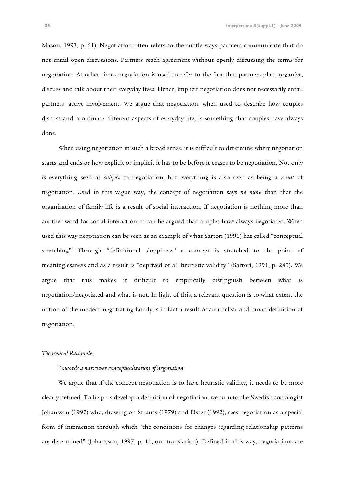Mason, 1993, p. 61). Negotiation often refers to the subtle ways partners communicate that do not entail open discussions. Partners reach agreement without openly discussing the terms for negotiation. At other times negotiation is used to refer to the fact that partners plan, organize, discuss and talk about their everyday lives. Hence, implicit negotiation does not necessarily entail partners' active involvement. We argue that negotiation, when used to describe how couples discuss and coordinate different aspects of everyday life, is something that couples have always done.

When using negotiation in such a broad sense, it is difficult to determine where negotiation starts and ends or how explicit or implicit it has to be before it ceases to be negotiation. Not only is everything seen as *subject* to negotiation, but everything is also seen as being a *result* of negotiation. Used in this vague way, the concept of negotiation says *no more* than that the organization of family life is a result of social interaction. If negotiation is nothing more than another word for social interaction, it can be argued that couples have always negotiated. When used this way negotiation can be seen as an example of what Sartori (1991) has called "conceptual stretching". Through "definitional sloppiness" a concept is stretched to the point of meaninglessness and as a result is "deprived of all heuristic validity" (Sartori, 1991, p. 249). We argue that this makes it difficult to empirically distinguish between what is negotiation/negotiated and what is not. In light of this, a relevant question is to what extent the notion of the modern negotiating family is in fact a result of an unclear and broad definition of negotiation.

### *Theoretical Rationale*

#### *Towards a narrower conceptualization of negotiation*

We argue that if the concept negotiation is to have heuristic validity, it needs to be more clearly defined. To help us develop a definition of negotiation, we turn to the Swedish sociologist Johansson (1997) who, drawing on Strauss (1979) and Elster (1992), sees negotiation as a special form of interaction through which "the conditions for changes regarding relationship patterns are determined" (Johansson, 1997, p. 11, our translation). Defined in this way, negotiations are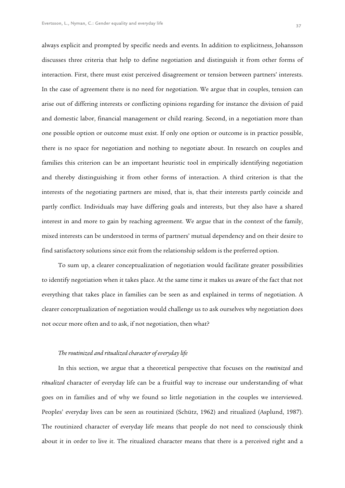always explicit and prompted by specific needs and events. In addition to explicitness, Johansson

discusses three criteria that help to define negotiation and distinguish it from other forms of interaction. First, there must exist perceived disagreement or tension between partners' interests. In the case of agreement there is no need for negotiation. We argue that in couples, tension can arise out of differing interests or conflicting opinions regarding for instance the division of paid and domestic labor, financial management or child rearing. Second, in a negotiation more than one possible option or outcome must exist. If only one option or outcome is in practice possible, there is no space for negotiation and nothing to negotiate about. In research on couples and families this criterion can be an important heuristic tool in empirically identifying negotiation and thereby distinguishing it from other forms of interaction. A third criterion is that the interests of the negotiating partners are mixed, that is, that their interests partly coincide and partly conflict. Individuals may have differing goals and interests, but they also have a shared interest in and more to gain by reaching agreement. We argue that in the context of the family, mixed interests can be understood in terms of partners' mutual dependency and on their desire to find satisfactory solutions since exit from the relationship seldom is the preferred option.

To sum up, a clearer conceptualization of negotiation would facilitate greater possibilities to identify negotiation when it takes place. At the same time it makes us aware of the fact that not everything that takes place in families can be seen as and explained in terms of negotiation. A clearer conceptualization of negotiation would challenge us to ask ourselves why negotiation does not occur more often and to ask, if not negotiation, then what?

#### *The routinized and ritualized character of everyday life*

In this section, we argue that a theoretical perspective that focuses on the *routinized* and *ritualized* character of everyday life can be a fruitful way to increase our understanding of what goes on in families and of why we found so little negotiation in the couples we interviewed. Peoples' everyday lives can be seen as routinized (Schütz, 1962) and ritualized (Asplund, 1987). The routinized character of everyday life means that people do not need to consciously think about it in order to live it. The ritualized character means that there is a perceived right and a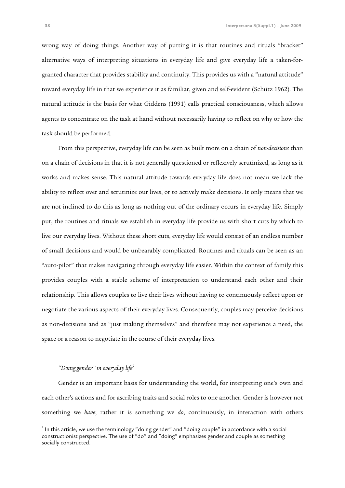wrong way of doing things*.* Another way of putting it is that routines and rituals "bracket" alternative ways of interpreting situations in everyday life and give everyday life a taken-forgranted character that provides stability and continuity. This provides us with a "natural attitude" toward everyday life in that we experience it as familiar, given and self-evident (Schütz 1962). The natural attitude is the basis for what Giddens (1991) calls practical consciousness, which allows agents to concentrate on the task at hand without necessarily having to reflect on why or how the task should be performed.

From this perspective, everyday life can be seen as built more on a chain of *non-decisions* than on a chain of decisions in that it is not generally questioned or reflexively scrutinized, as long as it works and makes sense. This natural attitude towards everyday life does not mean we lack the ability to reflect over and scrutinize our lives, or to actively make decisions. It only means that we are not inclined to do this as long as nothing out of the ordinary occurs in everyday life. Simply put, the routines and rituals we establish in everyday life provide us with short cuts by which to live our everyday lives. Without these short cuts, everyday life would consist of an endless number of small decisions and would be unbearably complicated. Routines and rituals can be seen as an "auto-pilot" that makes navigating through everyday life easier. Within the context of family this provides couples with a stable scheme of interpretation to understand each other and their relationship. This allows couples to live their lives without having to continuously reflect upon or negotiate the various aspects of their everyday lives. Consequently, couples may perceive decisions as non-decisions and as "just making themselves" and therefore may not experience a need, the space or a reason to negotiate in the course of their everyday lives.

#### *"Doing gender" in everyday life[2](#page-5-0)*

1

Gender is an important basis for understanding the world**,** for interpreting one's own and each other's actions and for ascribing traits and social roles to one another. Gender is however not something we *have*; rather it is something we *do*, continuously, in interaction with others

<span id="page-5-0"></span> $2$  In this article, we use the terminology "doing gender" and "doing couple" in accordance with a social constructionist perspective. The use of "do" and "doing" emphasizes gender and couple as something socially constructed.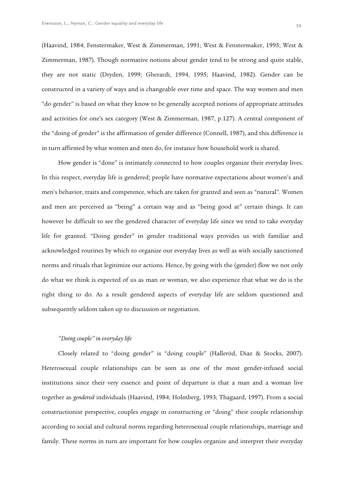(Haavind, 1984; Fenstermaker, West & Zimmerman, 1991; West & Fenstermaker, 1995; West & Zimmerman, 1987). Though normative notions about gender tend to be strong and quite stable, they are not static (Dryden, 1999; Gherardi, 1994, 1995; Haavind, 1982). Gender can be constructed in a variety of ways and is changeable over time and space. The way women and men "do gender" is based on what they know to be generally accepted notions of appropriate attitudes and activities for one's sex category (West & Zimmerman, 1987, p.127). A central component of the "doing of gender" is the affirmation of gender difference (Connell, 1987), and this difference is in turn affirmed by what women and men do, for instance how household work is shared.

How gender is "done" is intimately connected to how couples organize their everyday lives. In this respect, everyday life is gendered; people have normative expectations about women's and men's behavior, traits and competence, which are taken for granted and seen as "natural". Women and men are perceived as "being" a certain way and as "being good at" certain things. It can however be difficult to see the gendered character of everyday life since we tend to take everyday life for granted. "Doing gender" in gender traditional ways provides us with familiar and acknowledged routines by which to organize our everyday lives as well as with socially sanctioned norms and rituals that legitimize our actions. Hence, by going with the (gender) flow we not only do what we think is expected of us as man or woman, we also experience that what we do is the right thing to do. As a result gendered aspects of everyday life are seldom questioned and subsequently seldom taken up to discussion or negotiation.

# *"Doing couple" in everyday life*

Closely related to "doing gender" is "doing couple" (Halleröd, Diaz & Stocks, 2007). Heterosexual couple relationships can be seen as one of the most gender-infused social institutions since their very essence and point of departure is that a man and a woman live together as *gendered* individuals (Haavind, 1984; Holmberg, 1993; Thagaard, 1997). From a social constructionist perspective, couples engage in constructing or "doing" their couple relationship according to social and cultural norms regarding heterosexual couple relationships, marriage and family. These norms in turn are important for how couples organize and interpret their everyday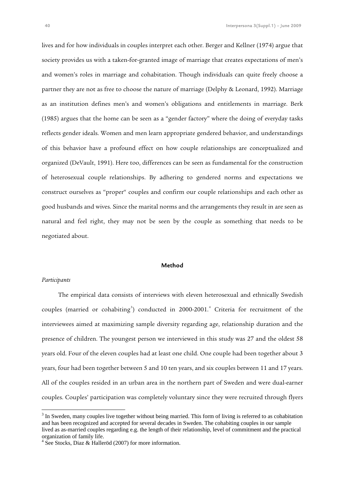lives and for how individuals in couples interpret each other. Berger and Kellner (1974) argue that society provides us with a taken-for-granted image of marriage that creates expectations of men's and women's roles in marriage and cohabitation. Though individuals can quite freely choose a partner they are not as free to choose the nature of marriage (Delphy & Leonard, 1992). Marriage as an institution defines men's and women's obligations and entitlements in marriage. Berk (1985) argues that the home can be seen as a "gender factory" where the doing of everyday tasks reflects gender ideals. Women and men learn appropriate gendered behavior, and understandings of this behavior have a profound effect on how couple relationships are conceptualized and organized (DeVault, 1991). Here too, differences can be seen as fundamental for the construction of heterosexual couple relationships. By adhering to gendered norms and expectations we construct ourselves as "proper" couples and confirm our couple relationships and each other as good husbands and wives. Since the marital norms and the arrangements they result in are seen as natural and feel right, they may not be seen by the couple as something that needs to be negotiated about.

# Method

#### *Participants*

1

The empirical data consists of interviews with eleven heterosexual and ethnically Swedish couples (married or cohabiting<sup>[3](#page-7-0)</sup>) conducted in 2000-2001.<sup>[4](#page-7-1)</sup> Criteria for recruitment of the interviewees aimed at maximizing sample diversity regarding age, relationship duration and the presence of children. The youngest person we interviewed in this study was 27 and the oldest 58 years old. Four of the eleven couples had at least one child. One couple had been together about 3 years, four had been together between 5 and 10 ten years, and six couples between 11 and 17 years. All of the couples resided in an urban area in the northern part of Sweden and were dual-earner couples. Couples' participation was completely voluntary since they were recruited through flyers

<span id="page-7-0"></span> $3$  In Sweden, many couples live together without being married. This form of living is referred to as cohabitation and has been recognized and accepted for several decades in Sweden. The cohabiting couples in our sample lived as as-married couples regarding e.g. the length of their relationship, level of commitment and the practical organization of family life.

<span id="page-7-1"></span><sup>4</sup> See Stocks, Diaz & Halleröd (2007) for more information.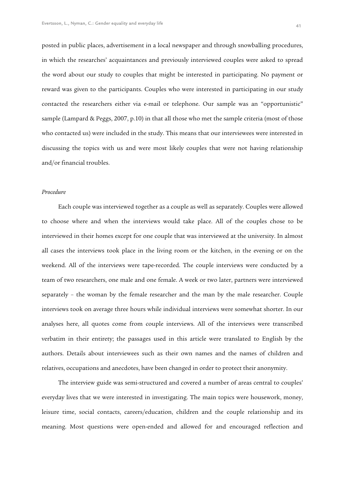posted in public places, advertisement in a local newspaper and through snowballing procedures, in which the researches' acquaintances and previously interviewed couples were asked to spread the word about our study to couples that might be interested in participating. No payment or reward was given to the participants. Couples who were interested in participating in our study contacted the researchers either via e-mail or telephone. Our sample was an "opportunistic" sample (Lampard & Peggs, 2007, p.10) in that all those who met the sample criteria (most of those who contacted us) were included in the study. This means that our interviewees were interested in discussing the topics with us and were most likely couples that were not having relationship and/or financial troubles.

#### *Procedure*

Each couple was interviewed together as a couple as well as separately. Couples were allowed to choose where and when the interviews would take place. All of the couples chose to be interviewed in their homes except for one couple that was interviewed at the university. In almost all cases the interviews took place in the living room or the kitchen, in the evening or on the weekend. All of the interviews were tape-recorded. The couple interviews were conducted by a team of two researchers, one male and one female. A week or two later, partners were interviewed separately – the woman by the female researcher and the man by the male researcher. Couple interviews took on average three hours while individual interviews were somewhat shorter. In our analyses here, all quotes come from couple interviews. All of the interviews were transcribed verbatim in their entirety; the passages used in this article were translated to English by the authors. Details about interviewees such as their own names and the names of children and relatives, occupations and anecdotes, have been changed in order to protect their anonymity.

The interview guide was semi-structured and covered a number of areas central to couples' everyday lives that we were interested in investigating. The main topics were housework, money, leisure time, social contacts, careers/education, children and the couple relationship and its meaning. Most questions were open-ended and allowed for and encouraged reflection and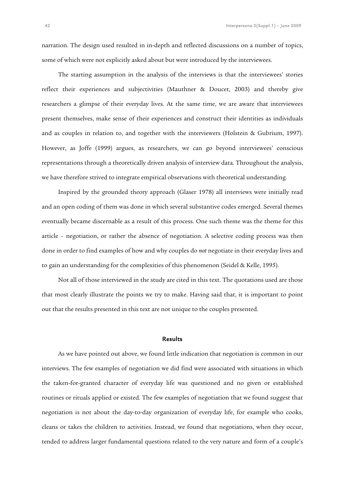narration. The design used resulted in in-depth and reflected discussions on a number of topics, some of which were not explicitly asked about but were introduced by the interviewees.

The starting assumption in the analysis of the interviews is that the interviewees' stories reflect their experiences and subjectivities (Mauthner & Doucet, 2003) and thereby give researchers a glimpse of their everyday lives. At the same time, we are aware that interviewees present themselves, make sense of their experiences and construct their identities as individuals and as couples in relation to, and together with the interviewers (Holstein & Gubrium, 1997). However, as Joffe (1999) argues, as researchers, we can go beyond interviewees' conscious representations through a theoretically driven analysis of interview data. Throughout the analysis, we have therefore strived to integrate empirical observations with theoretical understanding.

Inspired by the grounded theory approach (Glaser 1978) all interviews were initially read and an open coding of them was done in which several substantive codes emerged. Several themes eventually became discernable as a result of this process. One such theme was the theme for this article – negotiation, or rather the absence of negotiation. A selective coding process was then done in order to find examples of how and why couples do *not* negotiate in their everyday lives and to gain an understanding for the complexities of this phenomenon (Seidel & Kelle, 1995).

Not all of those interviewed in the study are cited in this text. The quotations used are those that most clearly illustrate the points we try to make. Having said that, it is important to point out that the results presented in this text are not unique to the couples presented.

## Results

As we have pointed out above, we found little indication that negotiation is common in our interviews. The few examples of negotiation we did find were associated with situations in which the taken-for-granted character of everyday life was questioned and no given or established routines or rituals applied or existed. The few examples of negotiation that we found suggest that negotiation is not about the day-to-day organization of everyday life, for example who cooks, cleans or takes the children to activities. Instead, we found that negotiations, when they occur, tended to address larger fundamental questions related to the very nature and form of a couple's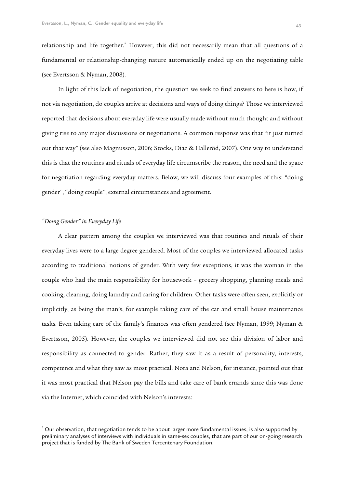relationship and life together.<sup>[5](#page-10-0)</sup> However, this did not necessarily mean that all questions of a fundamental or relationship-changing nature automatically ended up on the negotiating table (see Evertsson & Nyman, 2008).

In light of this lack of negotiation, the question we seek to find answers to here is how, if not via negotiation, do couples arrive at decisions and ways of doing things? Those we interviewed reported that decisions about everyday life were usually made without much thought and without giving rise to any major discussions or negotiations. A common response was that "it just turned out that way" (see also Magnusson, 2006; Stocks, Diaz & Halleröd, 2007). One way to understand this is that the routines and rituals of everyday life circumscribe the reason, the need and the space for negotiation regarding everyday matters. Below, we will discuss four examples of this: "doing gender", "doing couple", external circumstances and agreement.

# *"Doing Gender" in Everyday Life*

1

A clear pattern among the couples we interviewed was that routines and rituals of their everyday lives were to a large degree gendered. Most of the couples we interviewed allocated tasks according to traditional notions of gender. With very few exceptions, it was the woman in the couple who had the main responsibility for housework – grocery shopping, planning meals and cooking, cleaning, doing laundry and caring for children. Other tasks were often seen, explicitly or implicitly, as being the man's, for example taking care of the car and small house maintenance tasks. Even taking care of the family's finances was often gendered (see Nyman, 1999; Nyman & Evertsson, 2005). However, the couples we interviewed did not see this division of labor and responsibility as connected to gender. Rather, they saw it as a result of personality, interests, competence and what they saw as most practical. Nora and Nelson, for instance, pointed out that it was most practical that Nelson pay the bills and take care of bank errands since this was done via the Internet, which coincided with Nelson's interests:

<span id="page-10-0"></span> $^{\circ}$  Our observation, that negotiation tends to be about larger more fundamental issues, is also supported by preliminary analyses of interviews with individuals in same-sex couples, that are part of our on-going research project that is funded by The Bank of Sweden Tercentenary Foundation.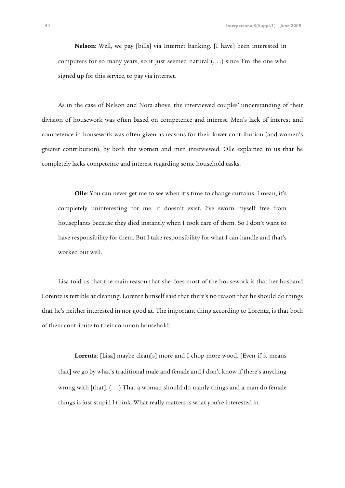**Nelson**: Well, we pay [bills] via Internet banking. [I have] been interested in computers for so many years, so it just seemed natural (. . .) since I'm the one who signed up for this service, to pay via internet.

As in the case of Nelson and Nora above, the interviewed couples' understanding of their division of housework was often based on competence and interest. Men's lack of interest and competence in housework was often given as reasons for their lower contribution (and women's greater contribution), by both the women and men interviewed. Olle explained to us that he completely lacks competence and interest regarding some household tasks:

**Olle**: You can never get me to see when it's time to change curtains. I mean, it's completely uninteresting for me, it doesn't exist. I've sworn myself free from houseplants because they died instantly when I took care of them. So I don't want to have responsibility for them. But I take responsibility for what I can handle and that's worked out well.

Lisa told us that the main reason that she does most of the housework is that her husband Lorentz is terrible at cleaning. Lorentz himself said that there's no reason that he should do things that he's neither interested in nor good at. The important thing according to Lorentz, is that both of them contribute to their common household:

**Lorentz**: [Lisa] maybe clean[s] more and I chop more wood. [Even if it means that] we go by what's traditional male and female and I don't know if there's anything wrong with [that]. (. . .) That a woman should do manly things and a man do female things is just stupid I think. What really matters is what you're interested in.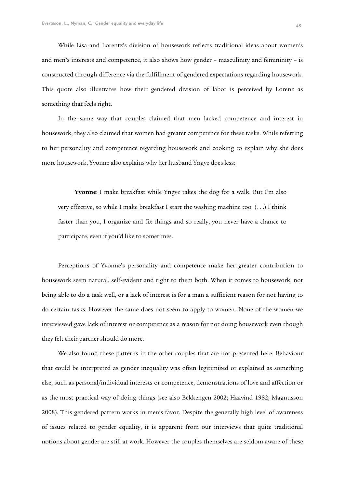While Lisa and Lorentz's division of housework reflects traditional ideas about women's and men's interests and competence, it also shows how gender – masculinity and femininity – is constructed through difference via the fulfillment of gendered expectations regarding housework. This quote also illustrates how their gendered division of labor is perceived by Lorenz as something that feels right.

In the same way that couples claimed that men lacked competence and interest in housework, they also claimed that women had greater competence for these tasks. While referring to her personality and competence regarding housework and cooking to explain why she does more housework, Yvonne also explains why her husband Yngve does less:

**Yvonne**: I make breakfast while Yngve takes the dog for a walk. But I'm also very effective, so while I make breakfast I start the washing machine too. (. . .) I think faster than you, I organize and fix things and so really, you never have a chance to participate, even if you'd like to sometimes.

Perceptions of Yvonne's personality and competence make her greater contribution to housework seem natural, self-evident and right to them both. When it comes to housework, not being able to do a task well, or a lack of interest is for a man a sufficient reason for not having to do certain tasks. However the same does not seem to apply to women. None of the women we interviewed gave lack of interest or competence as a reason for not doing housework even though they felt their partner should do more.

We also found these patterns in the other couples that are not presented here. Behaviour that could be interpreted as gender inequality was often legitimized or explained as something else, such as personal/individual interests or competence, demonstrations of love and affection or as the most practical way of doing things (see also Bekkengen 2002; Haavind 1982; Magnusson 2008). This gendered pattern works in men's favor. Despite the generally high level of awareness of issues related to gender equality, it is apparent from our interviews that quite traditional notions about gender are still at work. However the couples themselves are seldom aware of these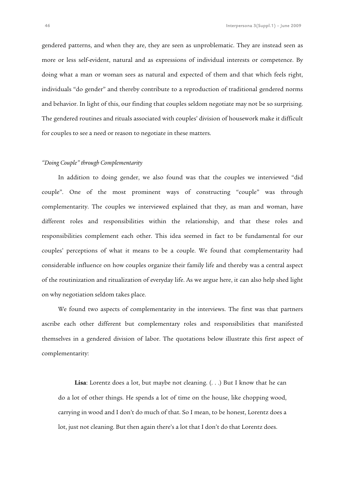gendered patterns, and when they are, they are seen as unproblematic. They are instead seen as more or less self-evident, natural and as expressions of individual interests or competence. By doing what a man or woman sees as natural and expected of them and that which feels right, individuals "do gender" and thereby contribute to a reproduction of traditional gendered norms and behavior. In light of this, our finding that couples seldom negotiate may not be so surprising. The gendered routines and rituals associated with couples' division of housework make it difficult for couples to see a need or reason to negotiate in these matters.

### *"Doing Couple" through Complementarity*

In addition to doing gender, we also found was that the couples we interviewed "did couple". One of the most prominent ways of constructing "couple" was through complementarity. The couples we interviewed explained that they, as man and woman, have different roles and responsibilities within the relationship, and that these roles and responsibilities complement each other. This idea seemed in fact to be fundamental for our couples' perceptions of what it means to be a couple. We found that complementarity had considerable influence on how couples organize their family life and thereby was a central aspect of the routinization and ritualization of everyday life. As we argue here, it can also help shed light on why negotiation seldom takes place.

We found two aspects of complementarity in the interviews. The first was that partners ascribe each other different but complementary roles and responsibilities that manifested themselves in a gendered division of labor. The quotations below illustrate this first aspect of complementarity:

**Lisa**: Lorentz does a lot, but maybe not cleaning. (. . .) But I know that he can do a lot of other things. He spends a lot of time on the house, like chopping wood, carrying in wood and I don't do much of that. So I mean, to be honest, Lorentz does a lot, just not cleaning. But then again there's a lot that I don't do that Lorentz does.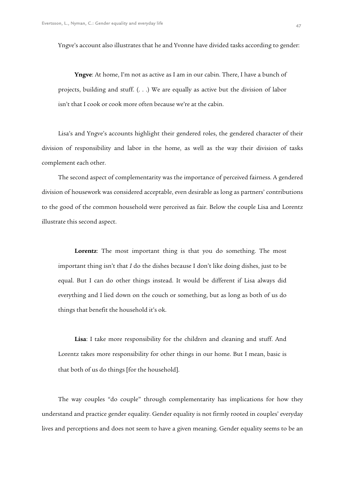Yngve's account also illustrates that he and Yvonne have divided tasks according to gender:

**Yngve**: At home, I'm not as active as I am in our cabin. There, I have a bunch of projects, building and stuff. (. . .) We are equally as active but the division of labor isn't that I cook or cook more often because we're at the cabin.

Lisa's and Yngve's accounts highlight their gendered roles, the gendered character of their division of responsibility and labor in the home, as well as the way their division of tasks complement each other.

The second aspect of complementarity was the importance of perceived fairness. A gendered division of housework was considered acceptable, even desirable as long as partners' contributions to the good of the common household were perceived as fair. Below the couple Lisa and Lorentz illustrate this second aspect.

**Lorentz**: The most important thing is that you do something. The most important thing isn't that *I* do the dishes because I don't like doing dishes, just to be equal. But I can do other things instead. It would be different if Lisa always did everything and I lied down on the couch or something, but as long as both of us do things that benefit the household it's ok.

**Lisa**: I take more responsibility for the children and cleaning and stuff. And Lorentz takes more responsibility for other things in our home. But I mean, basic is that both of us do things [for the household].

The way couples "do couple" through complementarity has implications for how they understand and practice gender equality. Gender equality is not firmly rooted in couples' everyday lives and perceptions and does not seem to have a given meaning. Gender equality seems to be an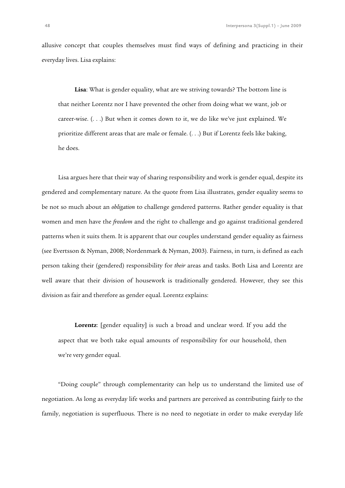allusive concept that couples themselves must find ways of defining and practicing in their everyday lives. Lisa explains:

**Lisa**: What is gender equality, what are we striving towards? The bottom line is that neither Lorentz nor I have prevented the other from doing what we want, job or career-wise. (. . .) But when it comes down to it, we do like we've just explained. We prioritize different areas that are male or female. (. . .) But if Lorentz feels like baking, he does.

Lisa argues here that their way of sharing responsibility and work is gender equal, despite its gendered and complementary nature. As the quote from Lisa illustrates, gender equality seems to be not so much about an *obligation* to challenge gendered patterns. Rather gender equality is that women and men have the *freedom* and the right to challenge and go against traditional gendered patterns when it suits them. It is apparent that our couples understand gender equality as fairness (see Evertsson & Nyman, 2008; Nordenmark & Nyman, 2003). Fairness, in turn, is defined as each person taking their (gendered) responsibility for *their* areas and tasks. Both Lisa and Lorentz are well aware that their division of housework is traditionally gendered. However, they see this division as fair and therefore as gender equal. Lorentz explains:

**Lorentz**: [gender equality] is such a broad and unclear word. If you add the aspect that we both take equal amounts of responsibility for our household, then we're very gender equal.

"Doing couple" through complementarity can help us to understand the limited use of negotiation. As long as everyday life works and partners are perceived as contributing fairly to the family, negotiation is superfluous. There is no need to negotiate in order to make everyday life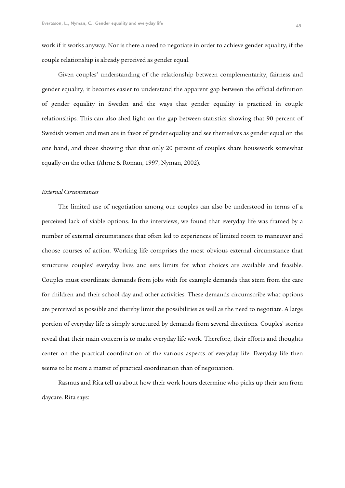work if it works anyway. Nor is there a need to negotiate in order to achieve gender equality, if the couple relationship is already perceived as gender equal.

Given couples' understanding of the relationship between complementarity, fairness and gender equality, it becomes easier to understand the apparent gap between the official definition of gender equality in Sweden and the ways that gender equality is practiced in couple relationships. This can also shed light on the gap between statistics showing that 90 percent of Swedish women and men are in favor of gender equality and see themselves as gender equal on the one hand, and those showing that that only 20 percent of couples share housework somewhat equally on the other (Ahrne & Roman, 1997; Nyman, 2002).

#### *External Circumstances*

The limited use of negotiation among our couples can also be understood in terms of a perceived lack of viable options. In the interviews, we found that everyday life was framed by a number of external circumstances that often led to experiences of limited room to maneuver and choose courses of action. Working life comprises the most obvious external circumstance that structures couples' everyday lives and sets limits for what choices are available and feasible. Couples must coordinate demands from jobs with for example demands that stem from the care for children and their school day and other activities. These demands circumscribe what options are perceived as possible and thereby limit the possibilities as well as the need to negotiate. A large portion of everyday life is simply structured by demands from several directions. Couples' stories reveal that their main concern is to make everyday life work. Therefore, their efforts and thoughts center on the practical coordination of the various aspects of everyday life. Everyday life then seems to be more a matter of practical coordination than of negotiation.

Rasmus and Rita tell us about how their work hours determine who picks up their son from daycare. Rita says: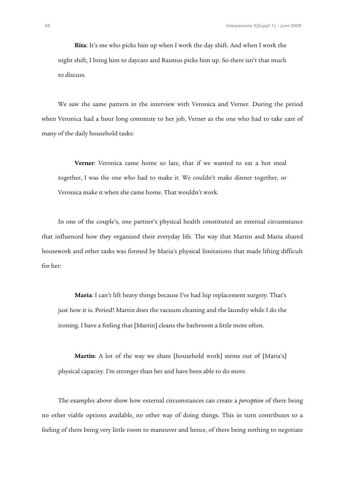**Rita**: It's me who picks him up when I work the day shift. And when I work the night shift, I bring him to daycare and Rasmus picks him up. So there isn't that much to discuss.

We saw the same pattern in the interview with Veronica and Verner. During the period when Veronica had a hour long commute to her job, Verner as the one who had to take care of many of the daily household tasks:

**Verner**: Veronica came home so late, that if we wanted to eat a hot meal together, I was the one who had to make it. We couldn't make dinner together, or Veronica make it when she came home. That wouldn't work.

In one of the couple's, one partner's physical health constituted an external circumstance that influenced how they organized their everyday life. The way that Martin and Maria shared housework and other tasks was formed by Maria's physical limitations that made lifting difficult for her:

**Maria**: I can't lift heavy things because I've had hip replacement surgery. That's just how it is. Period! Martin does the vacuum cleaning and the laundry while I do the ironing. I have a feeling that [Martin] cleans the bathroom a little more often.

**Martin**: A lot of the way we share [household work] stems out of [Maria's] physical capacity. I'm stronger than her and have been able to do more.

The examples above show how external circumstances can create a *perception* of there being no other viable options available, no other way of doing things. This in turn contributes to a feeling of there being very little room to maneuver and hence, of there being nothing to negotiate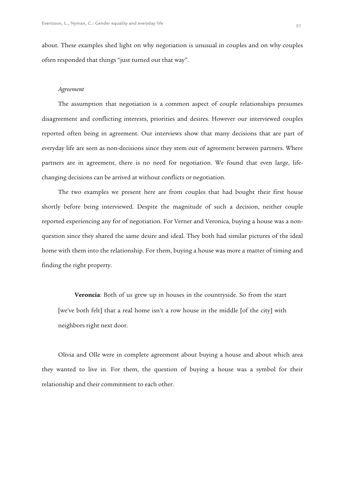about. These examples shed light on why negotiation is unusual in couples and on why couples often responded that things "just turned out that way".

#### *Agreement*

The assumption that negotiation is a common aspect of couple relationships presumes disagreement and conflicting interests, priorities and desires. However our interviewed couples reported often being in agreement. Our interviews show that many decisions that are part of everyday life are seen as non-decisions since they stem out of agreement between partners. Where partners are in agreement, there is no need for negotiation. We found that even large, lifechanging decisions can be arrived at without conflicts or negotiation.

The two examples we present here are from couples that had bought their first house shortly before being interviewed. Despite the magnitude of such a decision, neither couple reported experiencing any for of negotiation. For Verner and Veronica, buying a house was a nonquestion since they shared the same desire and ideal. They both had similar pictures of the ideal home with them into the relationship. For them, buying a house was more a matter of timing and finding the right property.

**Veroncia**: Both of us grew up in houses in the countryside. So from the start [we've both felt] that a real home isn't a row house in the middle [of the city] with neighbors right next door.

Olivia and Olle were in complete agreement about buying a house and about which area they wanted to live in. For them, the question of buying a house was a symbol for their relationship and their commitment to each other.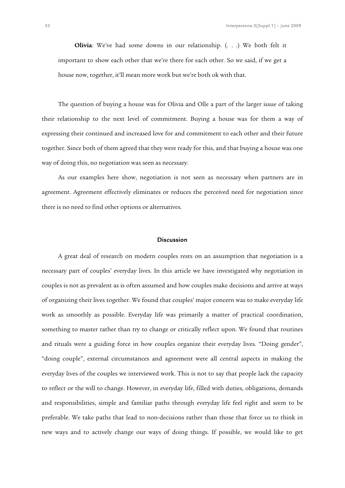**Olivia**: We've had some downs in our relationship. (. . .) We both felt it important to show each other that we're there for each other. So we said, if we get a house now, together, it'll mean more work but we're both ok with that.

The question of buying a house was for Olivia and Olle a part of the larger issue of taking their relationship to the next level of commitment. Buying a house was for them a way of expressing their continued and increased love for and commitment to each other and their future together. Since both of them agreed that they were ready for this, and that buying a house was one way of doing this, no negotiation was seen as necessary.

As our examples here show, negotiation is not seen as necessary when partners are in agreement. Agreement effectively eliminates or reduces the perceived need for negotiation since there is no need to find other options or alternatives.

# Discussion

A great deal of research on modern couples rests on an assumption that negotiation is a necessary part of couples' everyday lives. In this article we have investigated why negotiation in couples is not as prevalent as is often assumed and how couples make decisions and arrive at ways of organizing their lives together. We found that couples' major concern was to make everyday life work as smoothly as possible. Everyday life was primarily a matter of practical coordination, something to master rather than try to change or critically reflect upon. We found that routines and rituals were a guiding force in how couples organize their everyday lives. "Doing gender", "doing couple", external circumstances and agreement were all central aspects in making the everyday lives of the couples we interviewed work. This is not to say that people lack the capacity to reflect or the will to change. However, in everyday life, filled with duties, obligations, demands and responsibilities, simple and familiar paths through everyday life feel right and seem to be preferable. We take paths that lead to non-decisions rather than those that force us to think in new ways and to actively change our ways of doing things. If possible, we would like to get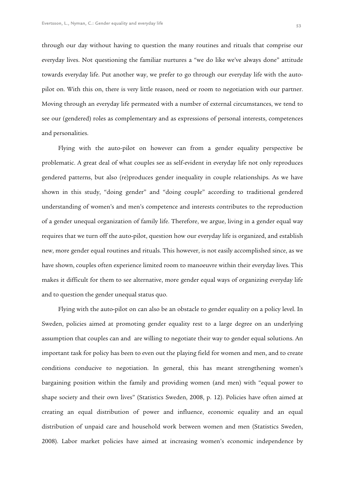through our day without having to question the many routines and rituals that comprise our everyday lives. Not questioning the familiar nurtures a "we do like we've always done" attitude towards everyday life. Put another way, we prefer to go through our everyday life with the autopilot on. With this on, there is very little reason, need or room to negotiation with our partner. Moving through an everyday life permeated with a number of external circumstances, we tend to see our (gendered) roles as complementary and as expressions of personal interests, competences and personalities.

Flying with the auto-pilot on however can from a gender equality perspective be problematic. A great deal of what couples see as self-evident in everyday life not only reproduces gendered patterns, but also (re)produces gender inequality in couple relationships. As we have shown in this study, "doing gender" and "doing couple" according to traditional gendered understanding of women's and men's competence and interests contributes to the reproduction of a gender unequal organization of family life. Therefore, we argue, living in a gender equal way requires that we turn off the auto-pilot, question how our everyday life is organized, and establish new, more gender equal routines and rituals. This however, is not easily accomplished since, as we have shown, couples often experience limited room to manoeuvre within their everyday lives. This makes it difficult for them to see alternative, more gender equal ways of organizing everyday life and to question the gender unequal status quo.

Flying with the auto-pilot on can also be an obstacle to gender equality on a policy level. In Sweden, policies aimed at promoting gender equality rest to a large degree on an underlying assumption that couples can and are willing to negotiate their way to gender equal solutions. An important task for policy has been to even out the playing field for women and men, and to create conditions conducive to negotiation. In general, this has meant strengthening women's bargaining position within the family and providing women (and men) with "equal power to shape society and their own lives" (Statistics Sweden, 2008, p. 12). Policies have often aimed at creating an equal distribution of power and influence, economic equality and an equal distribution of unpaid care and household work between women and men (Statistics Sweden, 2008). Labor market policies have aimed at increasing women's economic independence by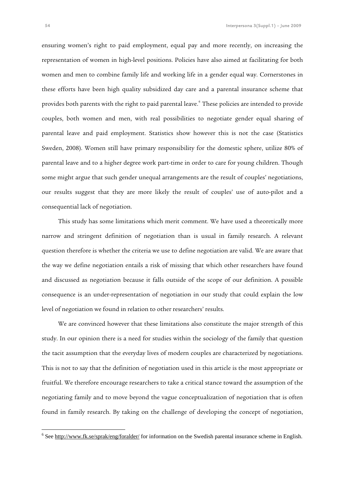ensuring women's right to paid employment, equal pay and more recently, on increasing the representation of women in high-level positions. Policies have also aimed at facilitating for both women and men to combine family life and working life in a gender equal way. Cornerstones in these efforts have been high quality subsidized day care and a parental insurance scheme that provides both parents with the right to paid parental leave.<sup>[6](#page-21-0)</sup> These policies are intended to provide couples, both women and men, with real possibilities to negotiate gender equal sharing of parental leave and paid employment. Statistics show however this is not the case (Statistics Sweden, 2008). Women still have primary responsibility for the domestic sphere, utilize 80% of parental leave and to a higher degree work part-time in order to care for young children. Though some might argue that such gender unequal arrangements are the result of couples' negotiations, our results suggest that they are more likely the result of couples' use of auto-pilot and a consequential lack of negotiation.

This study has some limitations which merit comment. We have used a theoretically more narrow and stringent definition of negotiation than is usual in family research. A relevant question therefore is whether the criteria we use to define negotiation are valid. We are aware that the way we define negotiation entails a risk of missing that which other researchers have found and discussed as negotiation because it falls outside of the scope of our definition. A possible consequence is an under-representation of negotiation in our study that could explain the low level of negotiation we found in relation to other researchers' results.

We are convinced however that these limitations also constitute the major strength of this study. In our opinion there is a need for studies within the sociology of the family that question the tacit assumption that the everyday lives of modern couples are characterized by negotiations. This is not to say that the definition of negotiation used in this article is the most appropriate or fruitful. We therefore encourage researchers to take a critical stance toward the assumption of the negotiating family and to move beyond the vague conceptualization of negotiation that is often found in family research. By taking on the challenge of developing the concept of negotiation,

1

<span id="page-21-0"></span><sup>&</sup>lt;sup>6</sup> See <http://www.fk.se/sprak/eng/foralder/>for information on the Swedish parental insurance scheme in English.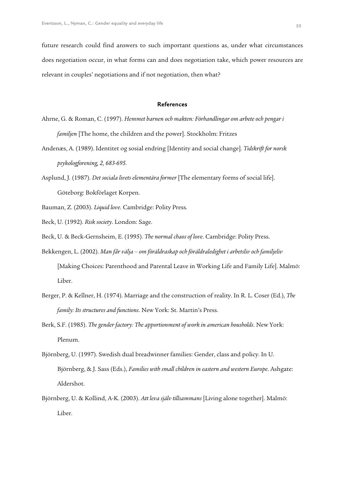future research could find answers to such important questions as, under what circumstances does negotiation occur, in what forms can and does negotiation take, which power resources are relevant in couples' negotiations and if not negotiation, then what?

## References

- Ahrne, G. & Roman, C. (1997). *Hemmet barnen och makten: Förhandlingar om arbete och pengar i familjen* [The home, the children and the power]. Stockholm: Fritzes
- Andenæs, A. (1989). Identitet og sosial endring [Identity and social change]. *Tidskrift for norsk psykologforening, 2, 683-695.*
- Asplund, J. (1987). *Det sociala livets elementära former* [The elementary forms of social life]. Göteborg: Bokförlaget Korpen.
- Bauman, Z. (2003). *Liquid love*. Cambridge: Polity Press.
- Beck, U. (1992). *Risk society*. London: Sage.
- Beck, U. & Beck-Gernsheim, E. (1995). *The normal chaos of love*. Cambridge: Polity Press.
- Bekkengen, L. (2002). *Man får välja om föräldraskap och föräldraledighet i arbetsliv och familjeliv* [Making Choices: Parenthood and Parental Leave in Working Life and Family Life]. Malmö: Liber.
- Berger, P. & Kellner, H. (1974). Marriage and the construction of reality. In R. L. Coser (Ed.), *The family: Its structures and functions*. New York: St. Martin's Press.
- Berk, S.F. (1985). *The gender factory: The apportionment of work in american housholds*. New York: Plenum.
- Björnberg, U. (1997). Swedish dual breadwinner families: Gender, class and policy. In U. Björnberg, & J. Sass (Eds.), *Families with small children in eastern and western Europe*. Ashgate: Aldershot.
- Björnberg, U. & Kollind, A-K. (2003). *Att leva själv tillsammans* [Living alone together]. Malmö: Liber.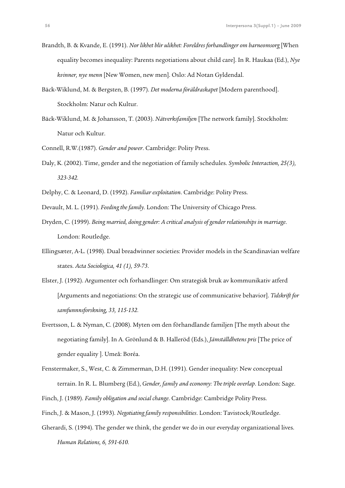- Brandth, B. & Kvande, E. (1991). *Nor likhet blir ulikhet: Foreldres forhandlinger om barneomsorg* [When equality becomes inequality: Parents negotiations about child care]. In R. Haukaa (Ed.), *Nye kvinner, nye menn* [New Women, new men]. Oslo: Ad Notan Gyldendal.
- Bäck-Wiklund, M. & Bergsten, B. (1997). *Det moderna föräldraskapet* [Modern parenthood]. Stockholm: Natur och Kultur.
- Bäck-Wiklund, M. & Johansson, T. (2003). *Nätverksfamiljen* [The network family]. Stockholm: Natur och Kultur.
- Connell, R.W.(1987). *Gender and power*. Cambridge: Polity Press.
- Daly, K. (2002). Time, gender and the negotiation of family schedules. *Symbolic Interaction, 25(3), 323-342.*
- Delphy, C. & Leonard, D. (1992). *Familiar exploitation*. Cambridge: Polity Press.

Devault, M. L. (1991). *Feeding the family.* London: The University of Chicago Press.

- Dryden, C. (1999). *Being married, doing gender: A critical analysis of gender relationships in marriage*. London: Routledge.
- Ellingsæter, A-L. (1998). Dual breadwinner societies: Provider models in the Scandinavian welfare states. *Acta Sociologica, 41 (1), 59-73*.
- Elster, J. (1992). Argumenter och forhandlinger: Om strategisk bruk av kommunikativ atferd [Arguments and negotiations: On the strategic use of communicative behavior]. *Tidskrift for samfunnnsforskning, 33, 115-132.*
- Evertsson, L. & Nyman, C. (2008). Myten om den förhandlande familjen [The myth about the negotiating family]. In A. Grönlund & B. Halleröd (Eds.), *Jämställdhetens pris* [The price of gender equality ]. Umeå: Boréa.
- Fenstermaker, S., West, C. & Zimmerman, D.H. (1991). Gender inequality: New conceptual terrain. In R. L. Blumberg (Ed.), *Gender, family and economy: The triple overlap*. London: Sage.
- Finch, J. (1989). *Family obligation and social change*. Cambridge: Cambridge Polity Press.

Finch, J. & Mason, J. (1993). *Negotiating family responsibilities*. London: Tavistock/Routledge.

Gherardi, S. (1994). The gender we think, the gender we do in our everyday organizational lives. *Human Relations, 6, 591-610.*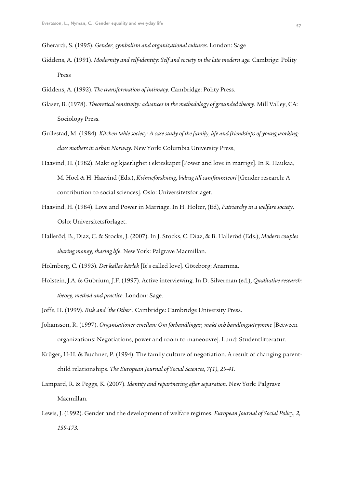Gherardi, S. (1995). *Gender, symbolism and organizational cultures*. London: Sage

- Giddens, A. (1991). *Modernity and self-identity: Self and society in the late modern age.* Cambrige: Polity Press
- Giddens, A. (1992). *The transformation of intimacy*. Cambridge: Polity Press.
- Glaser, B. (1978). *Theoretical sensitivity: advances in the methodology of grounded theory*. Mill Valley, CA: Sociology Press.
- Gullestad, M. (1984). *Kitchen table society: A case study of the family, life and friendships of young workingclass mothers in urban Norway*. New York: Columbia University Press,
- Haavind, H. (1982). Makt og kjaerlighet i ekteskapet [Power and love in marrige]. In R. Haukaa, M. Hoel & H. Haavind (Eds.), *Kvinneforskning, bidrag till samfunnsteori* [Gender research: A contribution to social sciences]. Oslo: Universitetsforlaget.
- Haavind, H. (1984). Love and Power in Marriage. In H. Holter, (Ed), *Patriarchy in a welfare society*. Oslo: Universitetsförlaget.
- Halleröd, B., Diaz, C. & Stocks, J. (2007). In J. Stocks, C. Diaz, & B. Halleröd (Eds.), *Modern couples sharing money, sharing life*. New York: Palgrave Macmillan.

Holmberg, C. (1993). *Det kallas kärlek* [It's called love]. Göteborg: Anamma.

- Holstein, J.A. & Gubrium, J.F. (1997). Active interviewing. In D. Silverman (ed.), *Qualitative research: theory, method and practice*. London: Sage.
- Joffe, H. (1999). *Risk and 'the Other'*. Cambridge: Cambridge University Press.
- Johansson, R. (1997). *Organisationer emellan: Om förhandlingar, makt och handlingsutrymme* [Between organizations: Negotiations, power and room to maneouvre]. Lund: Studentlitteratur.
- Krüger**,** H-H. & Buchner, P. (1994). The family culture of negotiation. A result of changing parentchild relationships. *The European Journal of Social Sciences, 7(1), 29-41*.
- Lampard, R. & Peggs, K. (2007). *Identity and repartnering after separation*. New York: Palgrave Macmillan.
- Lewis, J. (1992). Gender and the development of welfare regimes. *European Journal of Social Policy, 2, 159-173.*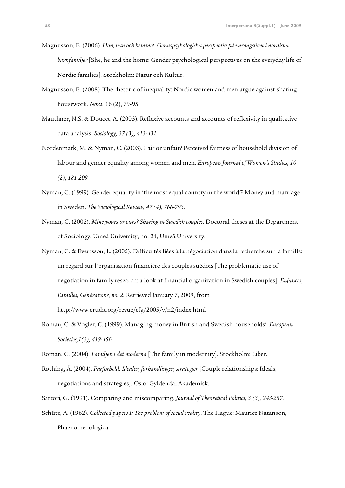- Magnusson, E. (2006). *Hon, han och hemmet: Genuspsykologiska perspektiv på vardagslivet i nordiska barnfamiljer* [She, he and the home: Gender psychological perspectives on the everyday life of Nordic families]. Stockholm: Natur och Kultur.
- Magnusson, E. (2008). The rhetoric of inequality: Nordic women and men argue against sharing housework. *Nora*, 16 (2), 79-95.
- Mauthner, N.S. & Doucet, A. (2003). Reflexive accounts and accounts of reflexivity in qualitative data analysis. *Sociology, 37 (3), 413-431.*
- Nordenmark, M. & Nyman, C. (2003). Fair or unfair? Perceived fairness of household division of labour and gender equality among women and men. *European Journal of Women's Studies, 10 (2), 181-209.*
- Nyman, C. (1999). Gender equality in 'the most equal country in the world'? Money and marriage in Sweden. *The Sociological Review, 47 (4), 766-793*.
- Nyman, C. (2002). *Mine yours or ours? Sharing in Swedish couples*. Doctoral theses at the Department of Sociology, Umeå University, no. 24, Umeå University.
- Nyman, C. & Evertsson, L. (2005). Difficultés liées à la négociation dans la recherche sur la famille: un regard sur l'organisation financière des couples suédois [The problematic use of negotiation in family research: a look at financial organization in Swedish couples]. *Enfances, Familles, Générations, no. 2.* Retrieved January 7, 2009, from http://www.erudit.org/revue/efg/2005/v/n2/index.html
- Roman, C. & Vogler, C. (1999). Managing money in British and Swedish households'. *European Societies,1(3), 419-456.*

Roman, C. (2004). *Familjen i det moderna* [The family in modernity]. Stockholm: Liber.

- Røthing, Å. (2004). *Parforhold: Idealer, forhandlinger, strategier* [Couple relationships: Ideals, negotiations and strategies]. Oslo: Gyldendal Akademisk.
- Sartori, G. (1991). Comparing and miscomparing. *Journal of Theoretical Politics, 3 (3), 243-257.*
- Schütz, A. (1962). *Collected papers I: The problem of social reality*. The Hague: Maurice Natanson, Phaenomenologica.